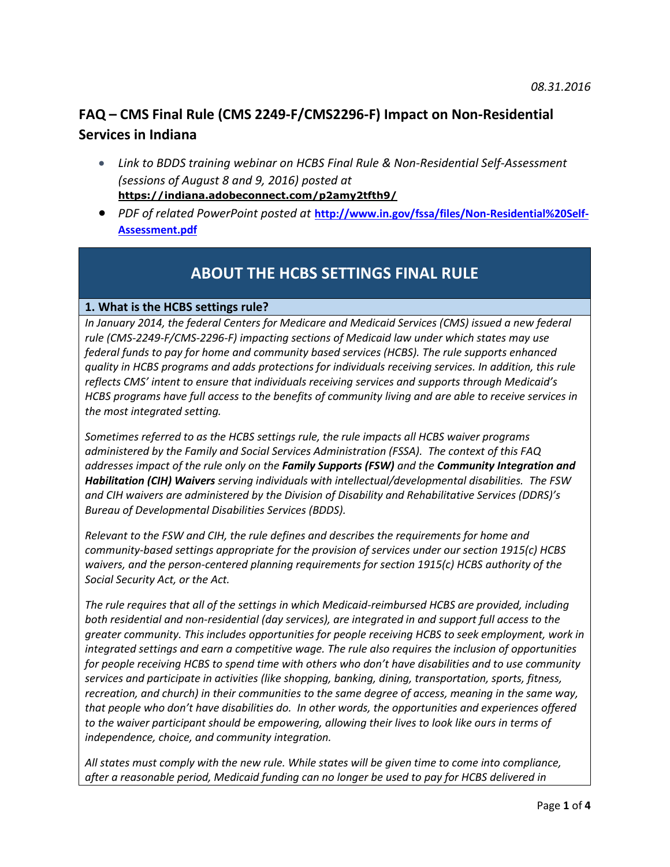# **FAQ – CMS Final Rule (CMS 2249-F/CMS2296-F) Impact on Non-Residential Services in Indiana**

- *Link to BDDS training webinar on HCBS Final Rule & Non-Residential Self-Assessment (sessions of August 8 and 9, 2016) posted at*  **[https://indiana.adobeconnect.com/p2amy2tfth9/](https://indiana.adobeconnect.com/p2amy2tfth9/?OWASP_CSRFTOKEN=bda28836bb310c21e3cab73b2a99a9503436f3492ab2f99f308125a4dc339fc1)**
- *PDF of related PowerPoint posted at* **[http://www.in.gov/fssa/files/Non-Residential%20Self-](http://www.in.gov/fssa/files/Non-Residential%20Self-Assessment.pdf)[Assessment.pdf](http://www.in.gov/fssa/files/Non-Residential%20Self-Assessment.pdf)**

# **ABOUT THE HCBS SETTINGS FINAL RULE**

## **1. What is the HCBS settings rule?**

In January 2014, the federal Centers for Medicare and Medicaid Services (CMS) issued a new federal *rule (CMS-2249-F/CMS-2296-F) impacting sections of Medicaid law under which states may use federal funds to pay for home and community based services (HCBS). The rule supports enhanced quality in HCBS programs and adds protections for individuals receiving services. In addition, this rule reflects CMS' intent to ensure that individuals receiving services and supports through Medicaid's HCBS programs have full access to the benefits of community living and are able to receive services in the most integrated setting.*

*Sometimes referred to as the HCBS settings rule, the rule impacts all HCBS waiver programs administered by the Family and Social Services Administration (FSSA). The context of this FAQ addresses impact of the rule only on the Family Supports (FSW) and the Community Integration and Habilitation (CIH) Waivers serving individuals with intellectual/developmental disabilities. The FSW and CIH waivers are administered by the Division of Disability and Rehabilitative Services (DDRS)'s Bureau of Developmental Disabilities Services (BDDS).* 

*Relevant to the FSW and CIH, the rule defines and describes the requirements for home and community-based settings appropriate for the provision of services under our section 1915(c) HCBS waivers, and the person-centered planning requirements for section 1915(c) HCBS authority of the Social Security Act, or the Act.* 

*The rule requires that all of the settings in which Medicaid-reimbursed HCBS are provided, including both residential and non-residential (day services), are integrated in and support full access to the greater community. This includes opportunities for people receiving HCBS to seek employment, work in integrated settings and earn a competitive wage. The rule also requires the inclusion of opportunities for people receiving HCBS to spend time with others who don't have disabilities and to use community services and participate in activities (like shopping, banking, dining, transportation, sports, fitness, recreation, and church) in their communities to the same degree of access, meaning in the same way, that people who don't have disabilities do. In other words, the opportunities and experiences offered to the waiver participant should be empowering, allowing their lives to look like ours in terms of independence, choice, and community integration.* 

*All states must comply with the new rule. While states will be given time to come into compliance, after a reasonable period, Medicaid funding can no longer be used to pay for HCBS delivered in*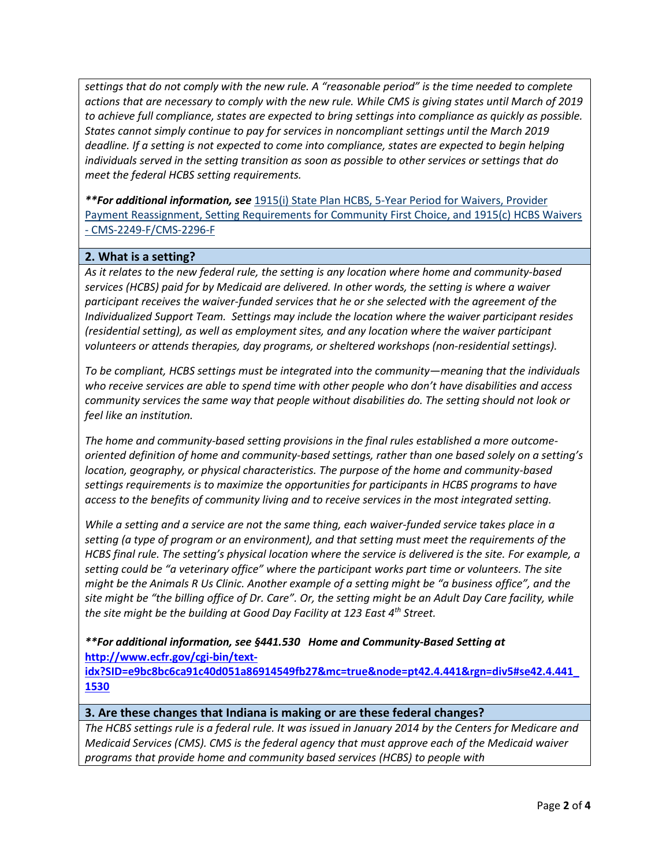*settings that do not comply with the new rule. A "reasonable period" is the time needed to complete actions that are necessary to comply with the new rule. While CMS is giving states until March of 2019 to achieve full compliance, states are expected to bring settings into compliance as quickly as possible. States cannot simply continue to pay for services in noncompliant settings until the March 2019 deadline. If a setting is not expected to come into compliance, states are expected to begin helping individuals served in the setting transition as soon as possible to other services or settings that do meet the federal HCBS setting requirements.* 

*\*\*For additional information, see* 1915(i) State Plan HCBS, 5-Year Period for [Waivers,](https://www.federalregister.gov/articles/2014/01/16/2014-00487/state-plan-home-and-community-based-services-5-year-period-for-waivers-provider-payment-reassignment) Provider Payment [Reassignment,](https://www.federalregister.gov/articles/2014/01/16/2014-00487/state-plan-home-and-community-based-services-5-year-period-for-waivers-provider-payment-reassignment) Setting Requirements for Community First Choice, and 1915(c) HCBS Waivers - [CMS-2249-F/CMS-2296-F](https://www.federalregister.gov/articles/2014/01/16/2014-00487/state-plan-home-and-community-based-services-5-year-period-for-waivers-provider-payment-reassignment)

### **2. What is a setting?**

*As it relates to the new federal rule, the setting is any location where home and community-based services (HCBS) paid for by Medicaid are delivered. In other words, the setting is where a waiver participant receives the waiver-funded services that he or she selected with the agreement of the Individualized Support Team. Settings may include the location where the waiver participant resides (residential setting), as well as employment sites, and any location where the waiver participant volunteers or attends therapies, day programs, or sheltered workshops (non-residential settings).* 

*To be compliant, HCBS settings must be integrated into the community—meaning that the individuals who receive services are able to spend time with other people who don't have disabilities and access community services the same way that people without disabilities do. The setting should not look or feel like an institution.* 

*The home and community-based setting provisions in the final rules established a more outcomeoriented definition of home and community-based settings, rather than one based solely on a setting's location, geography, or physical characteristics. The purpose of the home and community-based settings requirements is to maximize the opportunities for participants in HCBS programs to have access to the benefits of community living and to receive services in the most integrated setting.* 

*While a setting and a service are not the same thing, each waiver-funded service takes place in a setting (a type of program or an environment), and that setting must meet the requirements of the HCBS final rule. The setting's physical location where the service is delivered is the site. For example, a setting could be "a veterinary office" where the participant works part time or volunteers. The site might be the Animals R Us Clinic. Another example of a setting might be "a business office", and the site might be "the billing office of Dr. Care". Or, the setting might be an Adult Day Care facility, while the site might be the building at Good Day Facility at 123 East 4th Street.*

*\*\*For additional information, see §441.530 Home and Community-Based Setting at* **[http://www.ecfr.gov/cgi-bin/text-](http://www.ecfr.gov/cgi-bin/text-idx?SID=e9bc8bc6ca91c40d051a86914549fb27&mc=true&node=pt42.4.441&rgn=div5#se42.4.441_1530)**

**[idx?SID=e9bc8bc6ca91c40d051a86914549fb27&mc=true&node=pt42.4.441&rgn=div5#se42.4.441\\_](http://www.ecfr.gov/cgi-bin/text-idx?SID=e9bc8bc6ca91c40d051a86914549fb27&mc=true&node=pt42.4.441&rgn=div5#se42.4.441_1530) [1530](http://www.ecfr.gov/cgi-bin/text-idx?SID=e9bc8bc6ca91c40d051a86914549fb27&mc=true&node=pt42.4.441&rgn=div5#se42.4.441_1530)**

#### **3. Are these changes that Indiana is making or are these federal changes?**

*The HCBS settings rule is a federal rule. It was issued in January 2014 by the Centers for Medicare and Medicaid Services (CMS). CMS is the federal agency that must approve each of the Medicaid waiver programs that provide home and community based services (HCBS) to people with*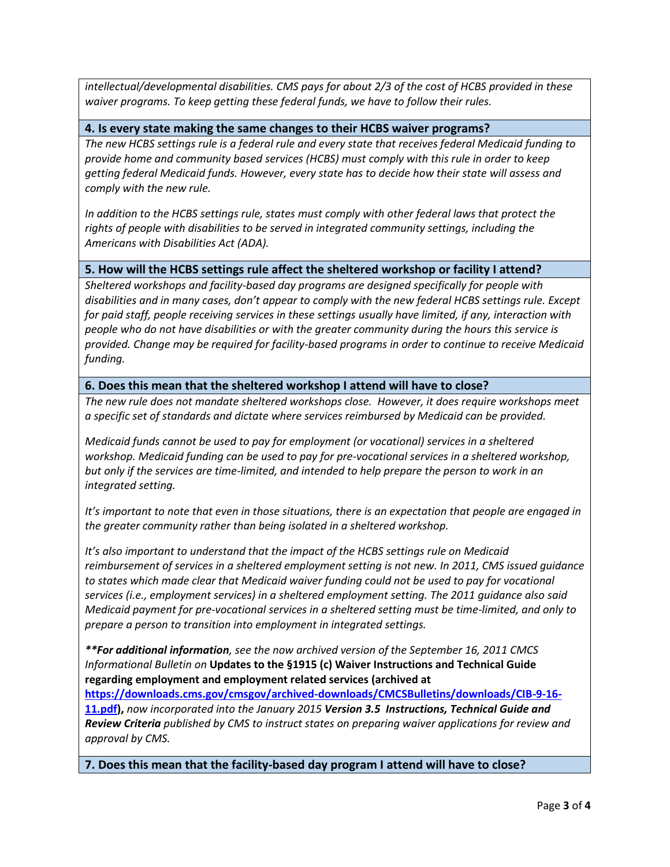*intellectual/developmental disabilities. CMS pays for about 2/3 of the cost of HCBS provided in these waiver programs. To keep getting these federal funds, we have to follow their rules.* 

#### **4. Is every state making the same changes to their HCBS waiver programs?**

*The new HCBS settings rule is a federal rule and every state that receives federal Medicaid funding to provide home and community based services (HCBS) must comply with this rule in order to keep getting federal Medicaid funds. However, every state has to decide how their state will assess and comply with the new rule.* 

*In addition to the HCBS settings rule, states must comply with other federal laws that protect the rights of people with disabilities to be served in integrated community settings, including the Americans with Disabilities Act (ADA).* 

#### **5. How will the HCBS settings rule affect the sheltered workshop or facility I attend?**

*Sheltered workshops and facility-based day programs are designed specifically for people with disabilities and in many cases, don't appear to comply with the new federal HCBS settings rule. Except for paid staff, people receiving services in these settings usually have limited, if any, interaction with people who do not have disabilities or with the greater community during the hours this service is provided. Change may be required for facility-based programs in order to continue to receive Medicaid funding.* 

**6. Does this mean that the sheltered workshop I attend will have to close?**

*The new rule does not mandate sheltered workshops close. However, it does require workshops meet a specific set of standards and dictate where services reimbursed by Medicaid can be provided.* 

*Medicaid funds cannot be used to pay for employment (or vocational) services in a sheltered workshop. Medicaid funding can be used to pay for pre-vocational services in a sheltered workshop, but only if the services are time-limited, and intended to help prepare the person to work in an integrated setting.* 

*It's important to note that even in those situations, there is an expectation that people are engaged in the greater community rather than being isolated in a sheltered workshop.*

*It's also important to understand that the impact of the HCBS settings rule on Medicaid reimbursement of services in a sheltered employment setting is not new. In 2011, CMS issued guidance to states which made clear that Medicaid waiver funding could not be used to pay for vocational services (i.e., employment services) in a sheltered employment setting. The 2011 guidance also said Medicaid payment for pre-vocational services in a sheltered setting must be time-limited, and only to prepare a person to transition into employment in integrated settings.* 

*\*\*For additional information, see the now archived version of the September 16, 2011 CMCS Informational Bulletin on* **Updates to the §1915 (c) Waiver Instructions and Technical Guide regarding employment and employment related services (archived at** 

**[https://downloads.cms.gov/cmsgov/archived-downloads/CMCSBulletins/downloads/CIB-9-16-](https://downloads.cms.gov/cmsgov/archived-downloads/CMCSBulletins/downloads/CIB-9-16-11.pdf) [11.pdf\)](https://downloads.cms.gov/cmsgov/archived-downloads/CMCSBulletins/downloads/CIB-9-16-11.pdf),** *now incorporated into the January 2015 Version 3.5 Instructions, Technical Guide and Review Criteria published by CMS to instruct states on preparing waiver applications for review and approval by CMS.*

**7. Does this mean that the facility-based day program I attend will have to close?**